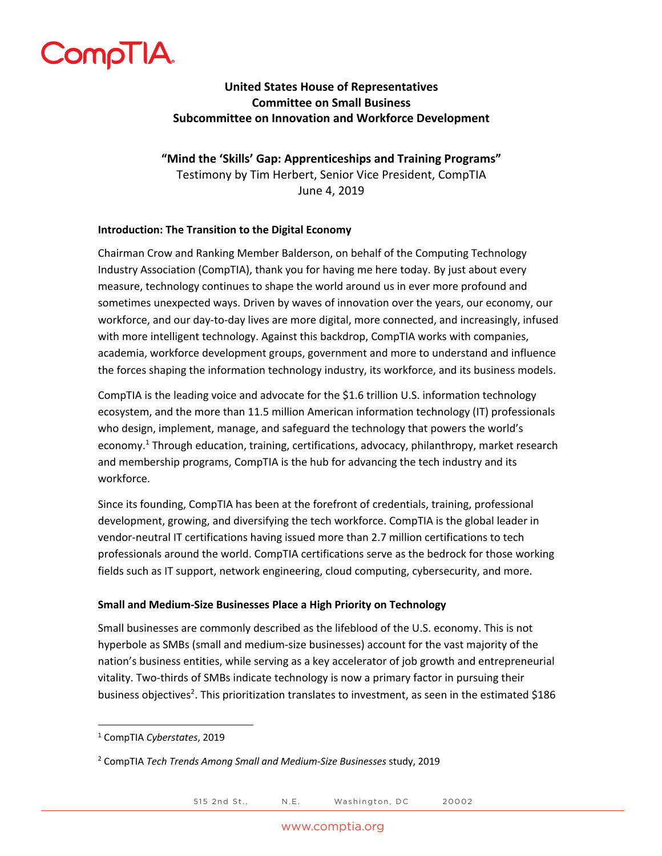

# **United States House of Representatives Committee on Small Business Subcommittee on Innovation and Workforce Development**

**"Mind the 'Skills' Gap: Apprenticeships and Training Programs"** Testimony by Tim Herbert, Senior Vice President, CompTIA June 4, 2019

### **Introduction: The Transition to the Digital Economy**

Chairman Crow and Ranking Member Balderson, on behalf of the Computing Technology Industry Association (CompTIA), thank you for having me here today. By just about every measure, technology continues to shape the world around us in ever more profound and sometimes unexpected ways. Driven by waves of innovation over the years, our economy, our workforce, and our day-to-day lives are more digital, more connected, and increasingly, infused with more intelligent technology. Against this backdrop, CompTIA works with companies, academia, workforce development groups, government and more to understand and influence the forces shaping the information technology industry, its workforce, and its business models.

CompTIA is the leading voice and advocate for the \$1.6 trillion U.S. information technology ecosystem, and the more than 11.5 million American information technology (IT) professionals who design, implement, manage, and safeguard the technology that powers the world's economy.<sup>1</sup> Through education, training, certifications, advocacy, philanthropy, market research and membership programs, CompTIA is the hub for advancing the tech industry and its workforce.

Since its founding, CompTIA has been at the forefront of credentials, training, professional development, growing, and diversifying the tech workforce. CompTIA is the global leader in vendor-neutral IT certifications having issued more than 2.7 million certifications to tech professionals around the world. CompTIA certifications serve as the bedrock for those working fields such as IT support, network engineering, cloud computing, cybersecurity, and more.

### **Small and Medium-Size Businesses Place a High Priority on Technology**

Small businesses are commonly described as the lifeblood of the U.S. economy. This is not hyperbole as SMBs (small and medium-size businesses) account for the vast majority of the nation's business entities, while serving as a key accelerator of job growth and entrepreneurial vitality. Two-thirds of SMBs indicate technology is now a primary factor in pursuing their business objectives<sup>2</sup>. This prioritization translates to investment, as seen in the estimated \$186

<sup>1</sup> CompTIA *Cyberstates*, 2019

<sup>2</sup> CompTIA *Tech Trends Among Small and Medium-Size Businesses* study, 2019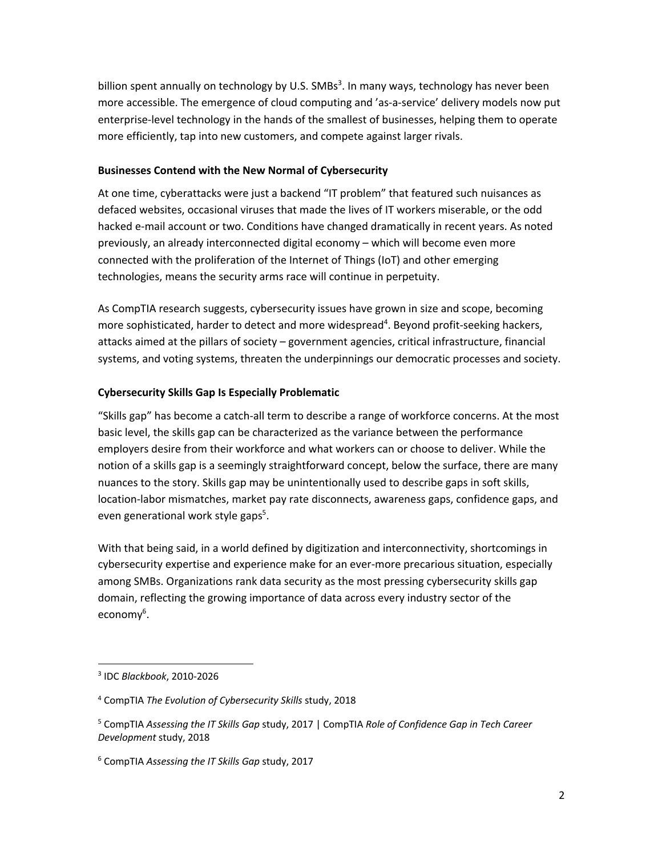billion spent annually on technology by U.S. SMBs<sup>3</sup>. In many ways, technology has never been more accessible. The emergence of cloud computing and 'as-a-service' delivery models now put enterprise-level technology in the hands of the smallest of businesses, helping them to operate more efficiently, tap into new customers, and compete against larger rivals.

### **Businesses Contend with the New Normal of Cybersecurity**

At one time, cyberattacks were just a backend "IT problem" that featured such nuisances as defaced websites, occasional viruses that made the lives of IT workers miserable, or the odd hacked e-mail account or two. Conditions have changed dramatically in recent years. As noted previously, an already interconnected digital economy – which will become even more connected with the proliferation of the Internet of Things (IoT) and other emerging technologies, means the security arms race will continue in perpetuity.

As CompTIA research suggests, cybersecurity issues have grown in size and scope, becoming more sophisticated, harder to detect and more widespread<sup>4</sup>. Beyond profit-seeking hackers, attacks aimed at the pillars of society – government agencies, critical infrastructure, financial systems, and voting systems, threaten the underpinnings our democratic processes and society.

#### **Cybersecurity Skills Gap Is Especially Problematic**

"Skills gap" has become a catch-all term to describe a range of workforce concerns. At the most basic level, the skills gap can be characterized as the variance between the performance employers desire from their workforce and what workers can or choose to deliver. While the notion of a skills gap is a seemingly straightforward concept, below the surface, there are many nuances to the story. Skills gap may be unintentionally used to describe gaps in soft skills, location-labor mismatches, market pay rate disconnects, awareness gaps, confidence gaps, and even generational work style gaps<sup>5</sup>.

With that being said, in a world defined by digitization and interconnectivity, shortcomings in cybersecurity expertise and experience make for an ever-more precarious situation, especially among SMBs. Organizations rank data security as the most pressing cybersecurity skills gap domain, reflecting the growing importance of data across every industry sector of the economy<sup>6</sup>.

<sup>3</sup> IDC *Blackbook*, 2010-2026

<sup>4</sup> CompTIA *The Evolution of Cybersecurity Skills* study, 2018

<sup>5</sup> CompTIA *Assessing the IT Skills Gap* study, 2017 | CompTIA *Role of Confidence Gap in Tech Career Development* study, 2018

<sup>6</sup> CompTIA *Assessing the IT Skills Gap* study, 2017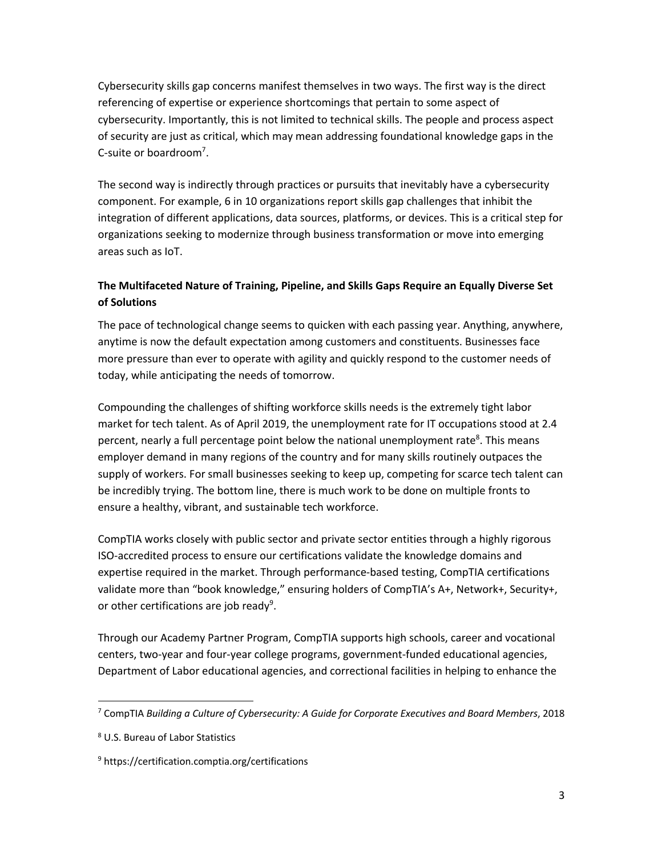Cybersecurity skills gap concerns manifest themselves in two ways. The first way is the direct referencing of expertise or experience shortcomings that pertain to some aspect of cybersecurity. Importantly, this is not limited to technical skills. The people and process aspect of security are just as critical, which may mean addressing foundational knowledge gaps in the C-suite or boardroom<sup>7</sup>.

The second way is indirectly through practices or pursuits that inevitably have a cybersecurity component. For example, 6 in 10 organizations report skills gap challenges that inhibit the integration of different applications, data sources, platforms, or devices. This is a critical step for organizations seeking to modernize through business transformation or move into emerging areas such as IoT.

## **The Multifaceted Nature of Training, Pipeline, and Skills Gaps Require an Equally Diverse Set of Solutions**

The pace of technological change seems to quicken with each passing year. Anything, anywhere, anytime is now the default expectation among customers and constituents. Businesses face more pressure than ever to operate with agility and quickly respond to the customer needs of today, while anticipating the needs of tomorrow.

Compounding the challenges of shifting workforce skills needs is the extremely tight labor market for tech talent. As of April 2019, the unemployment rate for IT occupations stood at 2.4 percent, nearly a full percentage point below the national unemployment rate<sup>8</sup>. This means employer demand in many regions of the country and for many skills routinely outpaces the supply of workers. For small businesses seeking to keep up, competing for scarce tech talent can be incredibly trying. The bottom line, there is much work to be done on multiple fronts to ensure a healthy, vibrant, and sustainable tech workforce.

CompTIA works closely with public sector and private sector entities through a highly rigorous ISO-accredited process to ensure our certifications validate the knowledge domains and expertise required in the market. Through performance-based testing, CompTIA certifications validate more than "book knowledge," ensuring holders of CompTIA's A+, Network+, Security+, or other certifications are job ready<sup>9</sup>.

Through our Academy Partner Program, CompTIA supports high schools, career and vocational centers, two-year and four-year college programs, government-funded educational agencies, Department of Labor educational agencies, and correctional facilities in helping to enhance the

<sup>7</sup> CompTIA *Building a Culture of Cybersecurity: A Guide for Corporate Executives and Board Members*, 2018

<sup>8</sup> U.S. Bureau of Labor Statistics

<sup>9</sup> https://certification.comptia.org/certifications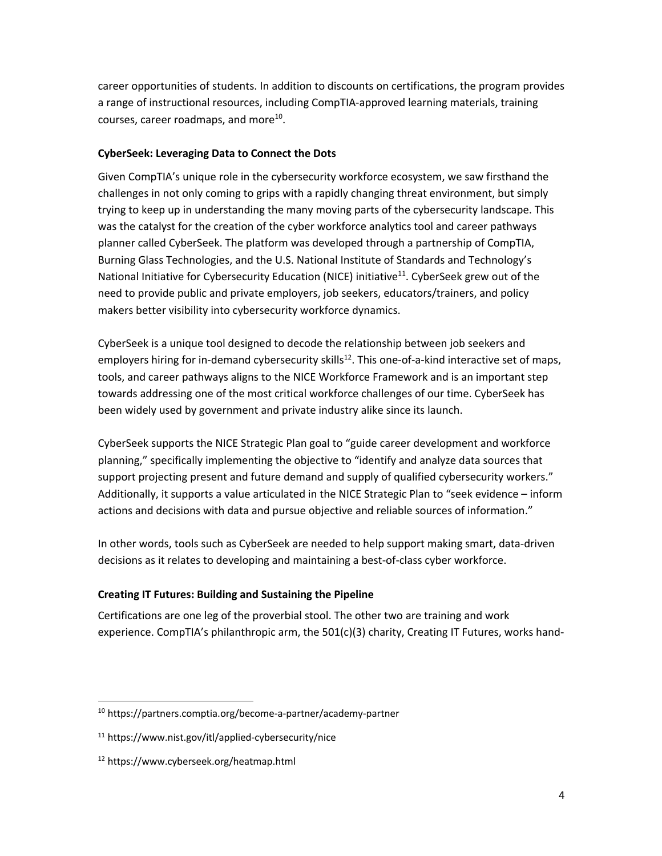career opportunities of students. In addition to discounts on certifications, the program provides a range of instructional resources, including CompTIA-approved learning materials, training courses, career roadmaps, and more $^{10}$ .

### **CyberSeek: Leveraging Data to Connect the Dots**

Given CompTIA's unique role in the cybersecurity workforce ecosystem, we saw firsthand the challenges in not only coming to grips with a rapidly changing threat environment, but simply trying to keep up in understanding the many moving parts of the cybersecurity landscape. This was the catalyst for the creation of the cyber workforce analytics tool and career pathways planner called CyberSeek. The platform was developed through a partnership of CompTIA, Burning Glass Technologies, and the U.S. National Institute of Standards and Technology's National Initiative for Cybersecurity Education (NICE) initiative<sup>11</sup>. CyberSeek grew out of the need to provide public and private employers, job seekers, educators/trainers, and policy makers better visibility into cybersecurity workforce dynamics.

CyberSeek is a unique tool designed to decode the relationship between job seekers and employers hiring for in-demand cybersecurity skills<sup>12</sup>. This one-of-a-kind interactive set of maps, tools, and career pathways aligns to the NICE Workforce Framework and is an important step towards addressing one of the most critical workforce challenges of our time. CyberSeek has been widely used by government and private industry alike since its launch.

CyberSeek supports the NICE Strategic Plan goal to "guide career development and workforce planning," specifically implementing the objective to "identify and analyze data sources that support projecting present and future demand and supply of qualified cybersecurity workers." Additionally, it supports a value articulated in the NICE Strategic Plan to "seek evidence – inform actions and decisions with data and pursue objective and reliable sources of information."

In other words, tools such as CyberSeek are needed to help support making smart, data-driven decisions as it relates to developing and maintaining a best-of-class cyber workforce.

### **Creating IT Futures: Building and Sustaining the Pipeline**

Certifications are one leg of the proverbial stool. The other two are training and work experience. CompTIA's philanthropic arm, the 501(c)(3) charity, Creating IT Futures, works hand-

<sup>10</sup> https://partners.comptia.org/become-a-partner/academy-partner

<sup>11</sup> https://www.nist.gov/itl/applied-cybersecurity/nice

<sup>12</sup> https://www.cyberseek.org/heatmap.html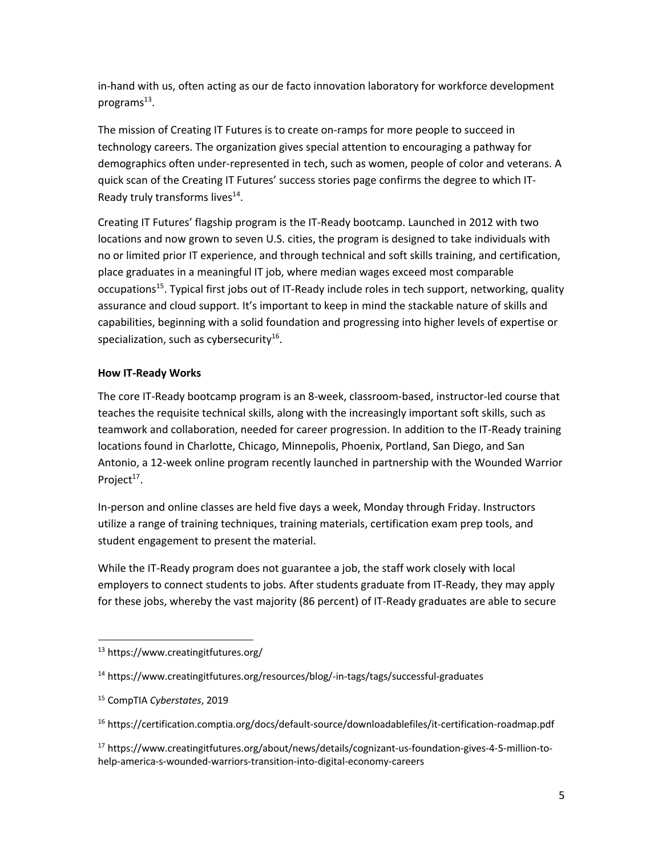in-hand with us, often acting as our de facto innovation laboratory for workforce development programs $^{13}$ .

The mission of Creating IT Futures is to create on-ramps for more people to succeed in technology careers. The organization gives special attention to encouraging a pathway for demographics often under-represented in tech, such as women, people of color and veterans. A quick scan of the Creating IT Futures' success stories page confirms the degree to which IT-Ready truly transforms lives<sup>14</sup>.

Creating IT Futures' flagship program is the IT-Ready bootcamp. Launched in 2012 with two locations and now grown to seven U.S. cities, the program is designed to take individuals with no or limited prior IT experience, and through technical and soft skills training, and certification, place graduates in a meaningful IT job, where median wages exceed most comparable occupations<sup>15</sup>. Typical first jobs out of IT-Ready include roles in tech support, networking, quality assurance and cloud support. It's important to keep in mind the stackable nature of skills and capabilities, beginning with a solid foundation and progressing into higher levels of expertise or specialization, such as cybersecurity<sup>16</sup>.

### **How IT-Ready Works**

The core IT-Ready bootcamp program is an 8-week, classroom-based, instructor-led course that teaches the requisite technical skills, along with the increasingly important soft skills, such as teamwork and collaboration, needed for career progression. In addition to the IT-Ready training locations found in Charlotte, Chicago, Minnepolis, Phoenix, Portland, San Diego, and San Antonio, a 12-week online program recently launched in partnership with the Wounded Warrior Project $17$ .

In-person and online classes are held five days a week, Monday through Friday. Instructors utilize a range of training techniques, training materials, certification exam prep tools, and student engagement to present the material.

While the IT-Ready program does not guarantee a job, the staff work closely with local employers to connect students to jobs. After students graduate from IT-Ready, they may apply for these jobs, whereby the vast majority (86 percent) of IT-Ready graduates are able to secure

 <sup>13</sup> https://www.creatingitfutures.org/

<sup>14</sup> https://www.creatingitfutures.org/resources/blog/-in-tags/tags/successful-graduates

<sup>15</sup> CompTIA *Cyberstates*, 2019

<sup>16</sup> https://certification.comptia.org/docs/default-source/downloadablefiles/it-certification-roadmap.pdf

<sup>17</sup> https://www.creatingitfutures.org/about/news/details/cognizant-us-foundation-gives-4-5-million-tohelp-america-s-wounded-warriors-transition-into-digital-economy-careers